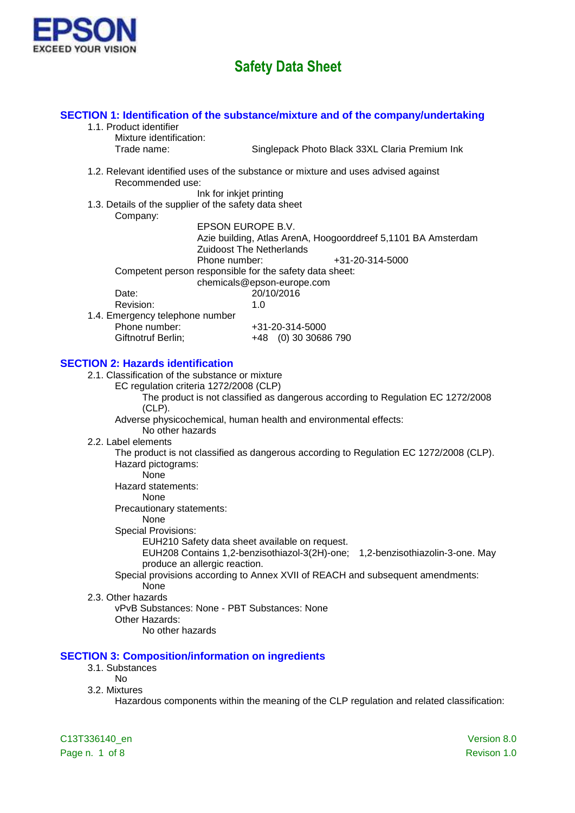

### **SECTION 1: Identification of the substance/mixture and of the company/undertaking** 1.1. Product identifier Mixture identification: Trade name: Singlepack Photo Black 33XL Claria Premium Ink 1.2. Relevant identified uses of the substance or mixture and uses advised against Recommended use: Ink for inkjet printing 1.3. Details of the supplier of the safety data sheet Company: EPSON EUROPE B.V. Azie building, Atlas ArenA, Hoogoorddreef 5,1101 BA Amsterdam Zuidoost The Netherlands Phone number:  $+31-20-314-5000$ Competent person responsible for the safety data sheet: chemicals@epson-europe.com Date: 20/10/2016 Revision: 1.0 1.4. Emergency telephone number Phone number: +31-20-314-5000 Giftnotruf Berlin; +48 (0) 30 30686 790 **SECTION 2: Hazards identification** 2.1. Classification of the substance or mixture EC regulation criteria 1272/2008 (CLP) The product is not classified as dangerous according to Regulation EC 1272/2008 (CLP). Adverse physicochemical, human health and environmental effects: No other hazards

2.2. Label elements

The product is not classified as dangerous according to Regulation EC 1272/2008 (CLP). Hazard pictograms:

None

Hazard statements:

None

Precautionary statements:

#### None

Special Provisions:

EUH210 Safety data sheet available on request.

EUH208 Contains 1,2-benzisothiazol-3(2H)-one; 1,2-benzisothiazolin-3-one. May produce an allergic reaction.

Special provisions according to Annex XVII of REACH and subsequent amendments: None

2.3. Other hazards

vPvB Substances: None - PBT Substances: None Other Hazards:

No other hazards

# **SECTION 3: Composition/information on ingredients**

- 3.1. Substances
	- No
- 3.2. Mixtures

Hazardous components within the meaning of the CLP regulation and related classification:

C13T336140\_en Version 8.0 Page n. 1 of 8 Revison 1.0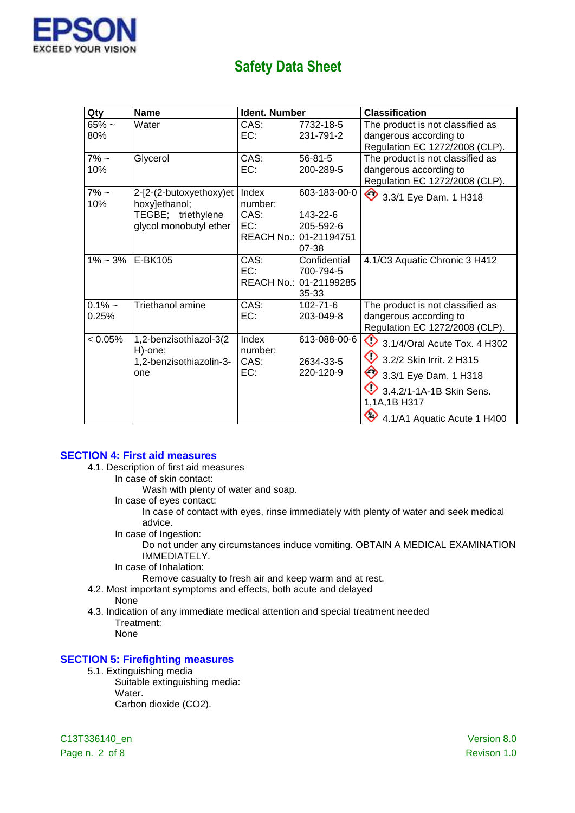

| Qty                | <b>Name</b>                                                                              | <b>Ident. Number</b>            |                                                                          | <b>Classification</b>                                                                                                                                                          |
|--------------------|------------------------------------------------------------------------------------------|---------------------------------|--------------------------------------------------------------------------|--------------------------------------------------------------------------------------------------------------------------------------------------------------------------------|
| $65%$ ~<br>80%     | Water                                                                                    | CAS:<br>EC:                     | 7732-18-5<br>231-791-2                                                   | The product is not classified as<br>dangerous according to<br>Regulation EC 1272/2008 (CLP).                                                                                   |
| $7\%$ ~<br>10%     | Glycerol                                                                                 | CAS:<br>EC:                     | $56 - 81 - 5$<br>200-289-5                                               | The product is not classified as<br>dangerous according to<br>Regulation EC 1272/2008 (CLP).                                                                                   |
| $7\%$ ~<br>10%     | 2-[2-(2-butoxyethoxy)et<br>hoxy]ethanol;<br>TEGBE; triethylene<br>glycol monobutyl ether | Index<br>number:<br>CAS:<br>EC: | 603-183-00-0<br>143-22-6<br>205-592-6<br>REACH No.: 01-21194751<br>07-38 | ◇<br>3.3/1 Eye Dam. 1 H318                                                                                                                                                     |
| $1\% - 3\%$        | E-BK105                                                                                  | CAS:<br>EC:                     | Confidential<br>700-794-5<br>REACH No.: 01-21199285<br>35-33             | 4.1/C3 Aquatic Chronic 3 H412                                                                                                                                                  |
| $0.1\%$ ~<br>0.25% | <b>Triethanol amine</b>                                                                  | CAS:<br>EC:                     | $102 - 71 - 6$<br>203-049-8                                              | The product is not classified as<br>dangerous according to<br>Regulation EC 1272/2008 (CLP).                                                                                   |
| $< 0.05\%$         | 1,2-benzisothiazol-3(2<br>H)-one;<br>1,2-benzisothiazolin-3-<br>one                      | Index<br>number:<br>CAS:<br>EC: | 613-088-00-6<br>2634-33-5<br>220-120-9                                   | $\textcircled{1}$ 3.1/4/Oral Acute Tox. 4 H302<br>3.2/2 Skin Irrit. 2 H315<br>3.3/1 Eye Dam. 1 H318<br>3.4.2/1-1A-1B Skin Sens.<br>1,1A,1B H317<br>4.1/A1 Aquatic Acute 1 H400 |

# **SECTION 4: First aid measures**

- 4.1. Description of first aid measures
	- In case of skin contact:
		- Wash with plenty of water and soap.
		- In case of eyes contact:

In case of contact with eyes, rinse immediately with plenty of water and seek medical advice.

In case of Ingestion:

Do not under any circumstances induce vomiting. OBTAIN A MEDICAL EXAMINATION IMMEDIATELY.

- In case of Inhalation:
	- Remove casualty to fresh air and keep warm and at rest.
- 4.2. Most important symptoms and effects, both acute and delayed
	- None
- 4.3. Indication of any immediate medical attention and special treatment needed Treatment:

# None

### **SECTION 5: Firefighting measures**

- 5.1. Extinguishing media
	- Suitable extinguishing media: Water. Carbon dioxide (CO2).

C13T336140\_en Version 8.0 Page n. 2 of 8 Revison 1.0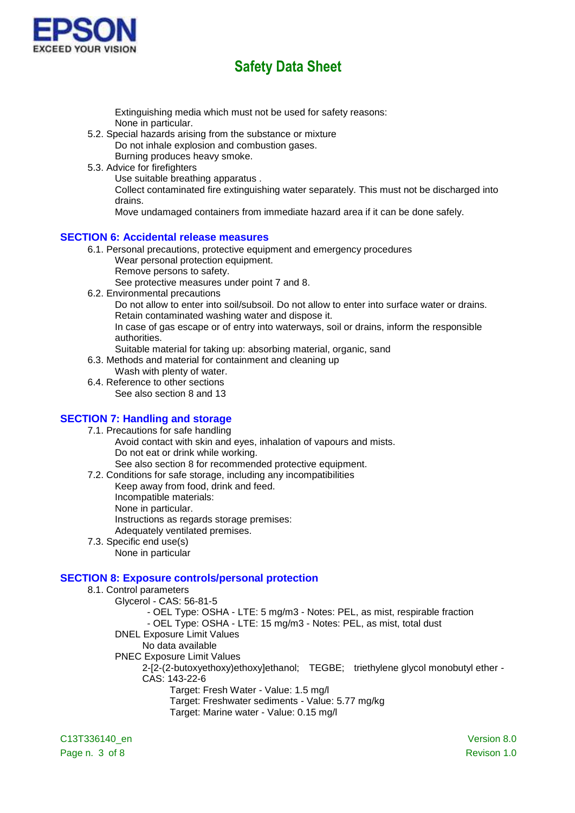

Extinguishing media which must not be used for safety reasons: None in particular.

5.2. Special hazards arising from the substance or mixture

Do not inhale explosion and combustion gases.

Burning produces heavy smoke.

- 5.3. Advice for firefighters
	- Use suitable breathing apparatus .

Collect contaminated fire extinguishing water separately. This must not be discharged into drains.

Move undamaged containers from immediate hazard area if it can be done safely.

### **SECTION 6: Accidental release measures**

- 6.1. Personal precautions, protective equipment and emergency procedures Wear personal protection equipment.
	- Remove persons to safety.

See protective measures under point 7 and 8.

6.2. Environmental precautions

Do not allow to enter into soil/subsoil. Do not allow to enter into surface water or drains. Retain contaminated washing water and dispose it.

In case of gas escape or of entry into waterways, soil or drains, inform the responsible authorities.

Suitable material for taking up: absorbing material, organic, sand

6.3. Methods and material for containment and cleaning up

Wash with plenty of water.

6.4. Reference to other sections See also section 8 and 13

# **SECTION 7: Handling and storage**

- 7.1. Precautions for safe handling
	- Avoid contact with skin and eyes, inhalation of vapours and mists. Do not eat or drink while working.
	- See also section 8 for recommended protective equipment.
- 7.2. Conditions for safe storage, including any incompatibilities
	- Keep away from food, drink and feed.
	- Incompatible materials:
	- None in particular.
	- Instructions as regards storage premises:
	- Adequately ventilated premises.
- 7.3. Specific end use(s)
	- None in particular

# **SECTION 8: Exposure controls/personal protection**

- 8.1. Control parameters
	- Glycerol CAS: 56-81-5
		- OEL Type: OSHA LTE: 5 mg/m3 Notes: PEL, as mist, respirable fraction

- OEL Type: OSHA - LTE: 15 mg/m3 - Notes: PEL, as mist, total dust

- DNEL Exposure Limit Values
	- No data available
- PNEC Exposure Limit Values

2-[2-(2-butoxyethoxy)ethoxy]ethanol; TEGBE; triethylene glycol monobutyl ether - CAS: 143-22-6

- Target: Fresh Water Value: 1.5 mg/l
	- Target: Freshwater sediments Value: 5.77 mg/kg
- Target: Marine water Value: 0.15 mg/l

C13T336140\_en Version 8.0 Page n. 3 of 8 Revison 1.0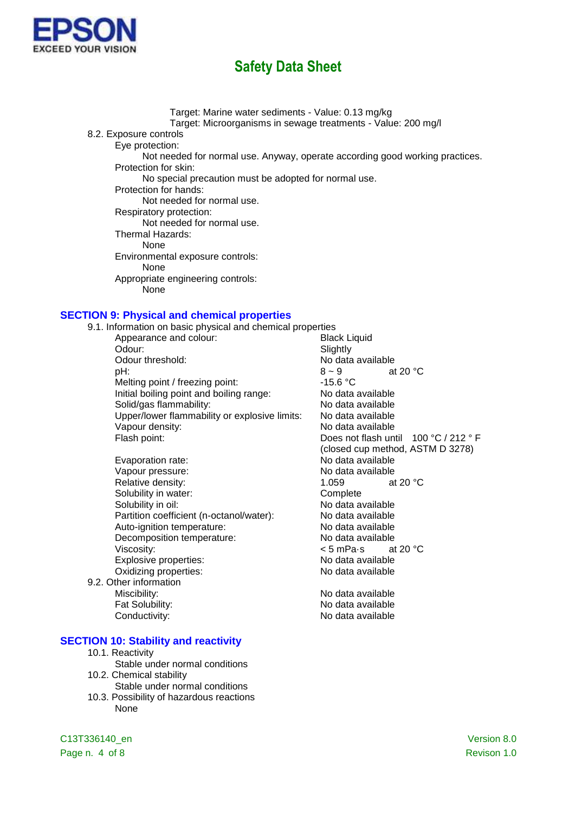

Target: Marine water sediments - Value: 0.13 mg/kg Target: Microorganisms in sewage treatments - Value: 200 mg/l

8.2. Exposure controls

Eye protection:

Not needed for normal use. Anyway, operate according good working practices. Protection for skin:

No special precaution must be adopted for normal use.

Protection for hands:

Not needed for normal use.

Respiratory protection:

Not needed for normal use. Thermal Hazards:

None

Environmental exposure controls:

- None
- Appropriate engineering controls: None

# **SECTION 9: Physical and chemical properties**

9.1. Information on basic physical and chemical properties Appearance and colour: Black Liquid Odour: Slightly Odour threshold: No data available pH:  $8 \sim 9$  at 20 °C Melting point / freezing point: -15.6 °C Initial boiling point and boiling range: No data available Solid/gas flammability: No data available Upper/lower flammability or explosive limits: No data available Vapour density: No data available Flash point: The Does not flash until 100 °C / 212 ° F (closed cup method, ASTM D 3278) Evaporation rate: No data available Vapour pressure:<br>
Relative density:<br>
Relative density:<br>
No data available<br>
1.059 at 20 °C Relative density: 1.059 Solubility in water: Complete Solubility in oil:<br>
Partition coefficient (n-octanol/water): No data available Partition coefficient (n-octanol/water): Auto-ignition temperature:<br>
Decomposition temperature: No data available Decomposition temperature: No data available<br>Viscosity:  $\leq$  5 mPa·s at 20 °C Viscosity:  $\le$  5 mPa·s Explosive properties: No data available Oxidizing properties: No data available 9.2. Other information

Miscibility: No data available Fat Solubility: No data available Conductivity: Conductivity: Conductivity:

C13T336140\_en Version 8.0 Page n. 4 of 8 Revison 1.0

**SECTION 10: Stability and reactivity**

10.2. Chemical stability

Stable under normal conditions

Stable under normal conditions 10.3. Possibility of hazardous reactions

10.1. Reactivity

None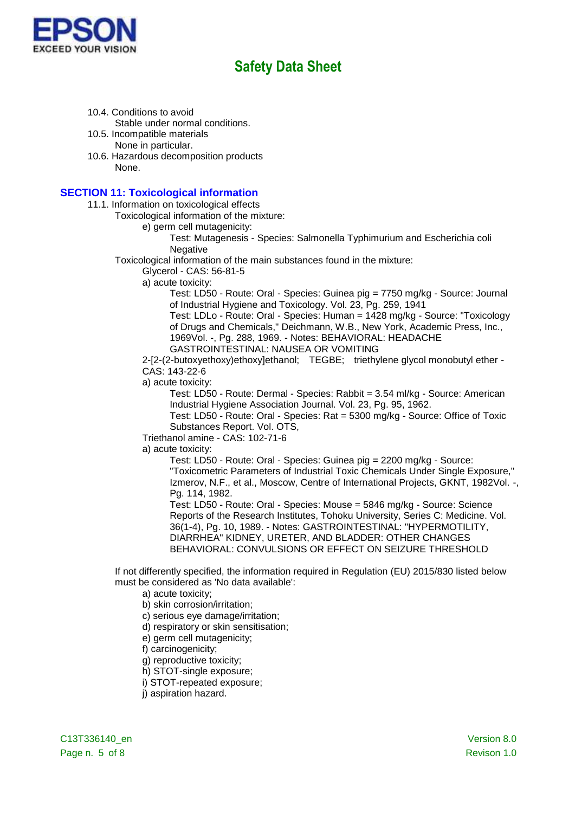

- 10.4. Conditions to avoid
	- Stable under normal conditions.
- 10.5. Incompatible materials None in particular.
- 10.6. Hazardous decomposition products None.

### **SECTION 11: Toxicological information**

11.1. Information on toxicological effects

Toxicological information of the mixture:

e) germ cell mutagenicity:

Test: Mutagenesis - Species: Salmonella Typhimurium and Escherichia coli **Negative** 

Toxicological information of the main substances found in the mixture:

Glycerol - CAS: 56-81-5

a) acute toxicity:

Test: LD50 - Route: Oral - Species: Guinea pig = 7750 mg/kg - Source: Journal of Industrial Hygiene and Toxicology. Vol. 23, Pg. 259, 1941

Test: LDLo - Route: Oral - Species: Human = 1428 mg/kg - Source: "Toxicology of Drugs and Chemicals," Deichmann, W.B., New York, Academic Press, Inc., 1969Vol. -, Pg. 288, 1969. - Notes: BEHAVIORAL: HEADACHE

GASTROINTESTINAL: NAUSEA OR VOMITING

2-[2-(2-butoxyethoxy)ethoxy]ethanol; TEGBE; triethylene glycol monobutyl ether - CAS: 143-22-6

a) acute toxicity:

Test: LD50 - Route: Dermal - Species: Rabbit = 3.54 ml/kg - Source: American Industrial Hygiene Association Journal. Vol. 23, Pg. 95, 1962.

Test: LD50 - Route: Oral - Species: Rat = 5300 mg/kg - Source: Office of Toxic Substances Report. Vol. OTS,

Triethanol amine - CAS: 102-71-6

a) acute toxicity:

Test: LD50 - Route: Oral - Species: Guinea pig = 2200 mg/kg - Source: "Toxicometric Parameters of Industrial Toxic Chemicals Under Single Exposure," Izmerov, N.F., et al., Moscow, Centre of International Projects, GKNT, 1982Vol. -, Pg. 114, 1982.

Test: LD50 - Route: Oral - Species: Mouse = 5846 mg/kg - Source: Science Reports of the Research Institutes, Tohoku University, Series C: Medicine. Vol. 36(1-4), Pg. 10, 1989. - Notes: GASTROINTESTINAL: "HYPERMOTILITY, DIARRHEA" KIDNEY, URETER, AND BLADDER: OTHER CHANGES BEHAVIORAL: CONVULSIONS OR EFFECT ON SEIZURE THRESHOLD

If not differently specified, the information required in Regulation (EU) 2015/830 listed below must be considered as 'No data available':

- a) acute toxicity;
- b) skin corrosion/irritation;
- c) serious eye damage/irritation;
- d) respiratory or skin sensitisation;
- e) germ cell mutagenicity;
- f) carcinogenicity;
- g) reproductive toxicity;
- h) STOT-single exposure;
- i) STOT-repeated exposure;
- j) aspiration hazard.

C13T336140\_en Version 8.0 Page n. 5 of 8 Revison 1.0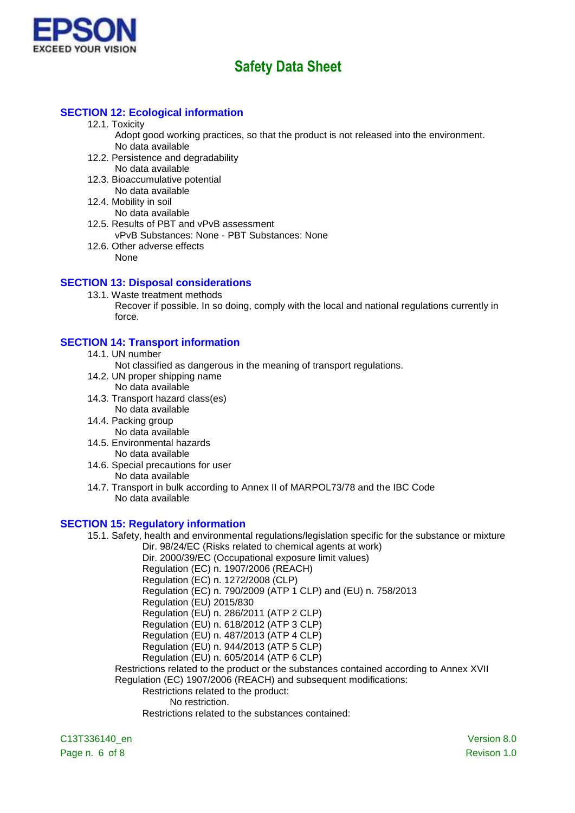

# **SECTION 12: Ecological information**

12.1. Toxicity

Adopt good working practices, so that the product is not released into the environment. No data available

- 12.2. Persistence and degradability No data available
- 12.3. Bioaccumulative potential No data available
- 12.4. Mobility in soil
	- No data available
- 12.5. Results of PBT and vPvB assessment vPvB Substances: None - PBT Substances: None
- 12.6. Other adverse effects None

# **SECTION 13: Disposal considerations**

13.1. Waste treatment methods Recover if possible. In so doing, comply with the local and national regulations currently in force.

# **SECTION 14: Transport information**

- 14.1. UN number
	- Not classified as dangerous in the meaning of transport regulations.
- 14.2. UN proper shipping name No data available
- 14.3. Transport hazard class(es) No data available
- 14.4. Packing group
	- No data available
- 14.5. Environmental hazards No data available
- 14.6. Special precautions for user
- No data available 14.7. Transport in bulk according to Annex II of MARPOL73/78 and the IBC Code No data available

# **SECTION 15: Regulatory information**

15.1. Safety, health and environmental regulations/legislation specific for the substance or mixture Dir. 98/24/EC (Risks related to chemical agents at work)

Dir. 2000/39/EC (Occupational exposure limit values) Regulation (EC) n. 1907/2006 (REACH) Regulation (EC) n. 1272/2008 (CLP) Regulation (EC) n. 790/2009 (ATP 1 CLP) and (EU) n. 758/2013 Regulation (EU) 2015/830 Regulation (EU) n. 286/2011 (ATP 2 CLP) Regulation (EU) n. 618/2012 (ATP 3 CLP) Regulation (EU) n. 487/2013 (ATP 4 CLP) Regulation (EU) n. 944/2013 (ATP 5 CLP) Regulation (EU) n. 605/2014 (ATP 6 CLP) Restrictions related to the product or the substances contained according to Annex XVII Regulation (EC) 1907/2006 (REACH) and subsequent modifications: Restrictions related to the product: No restriction. Restrictions related to the substances contained:

C13T336140\_en Version 8.0 Page n. 6 of 8 Revison 1.0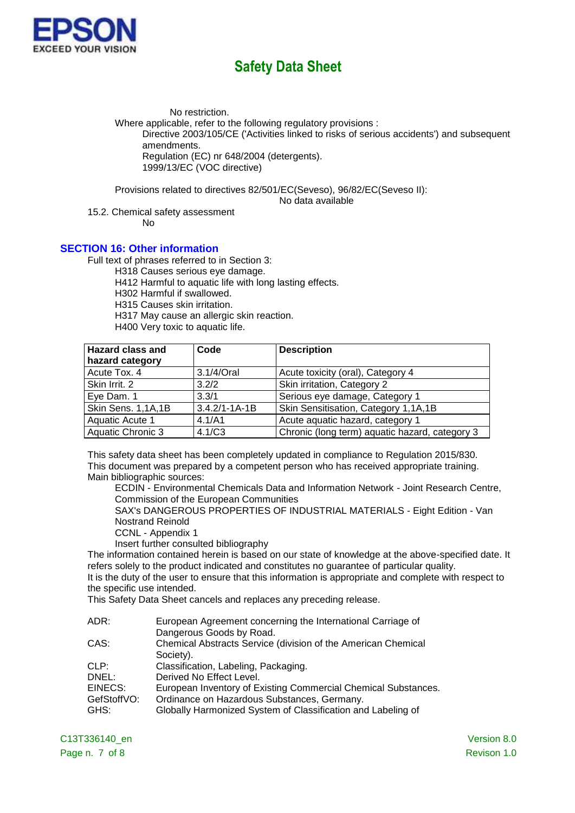

No restriction.

Where applicable, refer to the following regulatory provisions :

Directive 2003/105/CE ('Activities linked to risks of serious accidents') and subsequent amendments.

Regulation (EC) nr 648/2004 (detergents). 1999/13/EC (VOC directive)

Provisions related to directives 82/501/EC(Seveso), 96/82/EC(Seveso II):

No data available

15.2. Chemical safety assessment

No

# **SECTION 16: Other information**

Full text of phrases referred to in Section 3:

H318 Causes serious eye damage.

H412 Harmful to aquatic life with long lasting effects.

H302 Harmful if swallowed.

H315 Causes skin irritation.

H317 May cause an allergic skin reaction.

H400 Very toxic to aquatic life.

| <b>Hazard class and</b> | Code                | <b>Description</b>                             |  |
|-------------------------|---------------------|------------------------------------------------|--|
| hazard category         |                     |                                                |  |
| Acute Tox. 4            | 3.1/4/Oral          | Acute toxicity (oral), Category 4              |  |
| Skin Irrit. 2           | 3.2/2               | Skin irritation, Category 2                    |  |
| Eye Dam. 1              | 3.3/1               | Serious eye damage, Category 1                 |  |
| Skin Sens. 1,1A,1B      | $3.4.2/1 - 1A - 1B$ | Skin Sensitisation, Category 1,1A,1B           |  |
| Aquatic Acute 1         | 4.1/A1              | Acute aquatic hazard, category 1               |  |
| Aquatic Chronic 3       | 4.1/C3              | Chronic (long term) aquatic hazard, category 3 |  |

This safety data sheet has been completely updated in compliance to Regulation 2015/830. This document was prepared by a competent person who has received appropriate training. Main bibliographic sources:

ECDIN - Environmental Chemicals Data and Information Network - Joint Research Centre, Commission of the European Communities

SAX's DANGEROUS PROPERTIES OF INDUSTRIAL MATERIALS - Eight Edition - Van Nostrand Reinold

CCNL - Appendix 1

Insert further consulted bibliography

The information contained herein is based on our state of knowledge at the above-specified date. It refers solely to the product indicated and constitutes no guarantee of particular quality.

It is the duty of the user to ensure that this information is appropriate and complete with respect to the specific use intended.

This Safety Data Sheet cancels and replaces any preceding release.

| ADR:        | European Agreement concerning the International Carriage of    |
|-------------|----------------------------------------------------------------|
|             | Dangerous Goods by Road.                                       |
| CAS:        | Chemical Abstracts Service (division of the American Chemical  |
|             | Society).                                                      |
| CLP:        | Classification, Labeling, Packaging.                           |
| DNEL:       | Derived No Effect Level.                                       |
| EINECS:     | European Inventory of Existing Commercial Chemical Substances. |
| GefStoffVO: | Ordinance on Hazardous Substances, Germany.                    |
| GHS:        | Globally Harmonized System of Classification and Labeling of   |

C13T336140\_en Version 8.0 Page n. 7 of 8 Revison 1.0